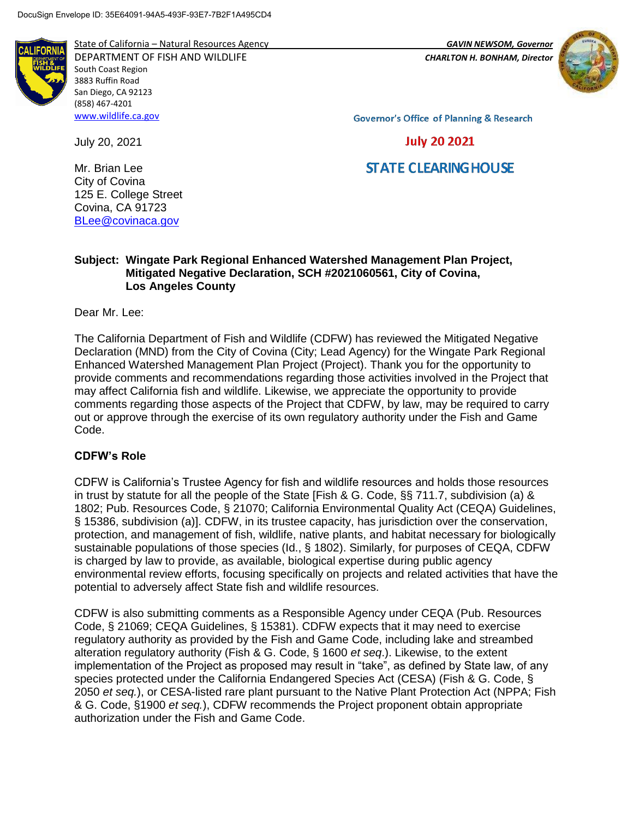

State of California – Natural Resources Agency *GAVIN NEWSOM, Governor*

DEPARTMENT OF FISH AND WILDLIFE *CHARLTON H. BONHAM, Director*  South Coast Region 3883 Ruffin Road San Diego, CA 92123 (858) 467-4201 [www.wildlife.ca.gov](http://www.wildlife.ca.gov/)



**Governor's Office of Planning & Research** 

**July 20 2021** 

# **STATE CLEARING HOUSE**

Mr. Brian Lee City of Covina 125 E. College Street Covina, CA 91723 [BLee@covinaca.gov](mailto:BLee@covinaca.gov)

July 20, 2021

### **Subject: Wingate Park Regional Enhanced Watershed Management Plan Project, Mitigated Negative Declaration, SCH #2021060561, City of Covina, Los Angeles County**

Dear Mr. Lee:

The California Department of Fish and Wildlife (CDFW) has reviewed the Mitigated Negative Declaration (MND) from the City of Covina (City; Lead Agency) for the Wingate Park Regional Enhanced Watershed Management Plan Project (Project). Thank you for the opportunity to provide comments and recommendations regarding those activities involved in the Project that may affect California fish and wildlife. Likewise, we appreciate the opportunity to provide comments regarding those aspects of the Project that CDFW, by law, may be required to carry out or approve through the exercise of its own regulatory authority under the Fish and Game Code.

### **CDFW's Role**

CDFW is California's Trustee Agency for fish and wildlife resources and holds those resources in trust by statute for all the people of the State [Fish & G. Code, §§ 711.7, subdivision (a) & 1802; Pub. Resources Code, § 21070; California Environmental Quality Act (CEQA) Guidelines, § 15386, subdivision (a)]. CDFW, in its trustee capacity, has jurisdiction over the conservation, protection, and management of fish, wildlife, native plants, and habitat necessary for biologically sustainable populations of those species (Id., § 1802). Similarly, for purposes of CEQA, CDFW is charged by law to provide, as available, biological expertise during public agency environmental review efforts, focusing specifically on projects and related activities that have the potential to adversely affect State fish and wildlife resources.

CDFW is also submitting comments as a Responsible Agency under CEQA (Pub. Resources Code, § 21069; CEQA Guidelines, § 15381). CDFW expects that it may need to exercise regulatory authority as provided by the Fish and Game Code, including lake and streambed alteration regulatory authority (Fish & G. Code, § 1600 *et seq*.). Likewise, to the extent implementation of the Project as proposed may result in "take", as defined by State law, of any species protected under the California Endangered Species Act (CESA) (Fish & G. Code, § 2050 *et seq.*), or CESA-listed rare plant pursuant to the Native Plant Protection Act (NPPA; Fish & G. Code, §1900 *et seq.*), CDFW recommends the Project proponent obtain appropriate authorization under the Fish and Game Code.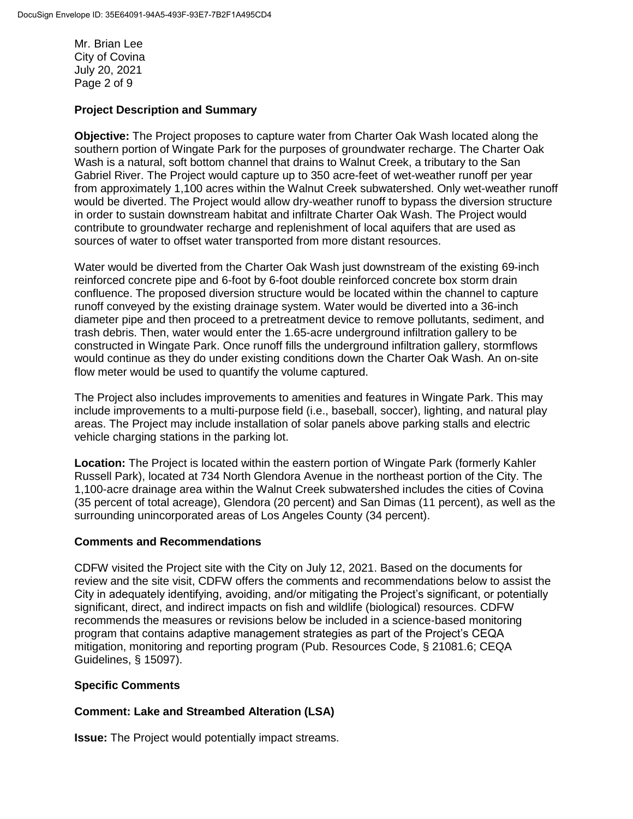Mr. Brian Lee City of Covina July 20, 2021 Page 2 of 9

#### **Project Description and Summary**

**Objective:** The Project proposes to capture water from Charter Oak Wash located along the southern portion of Wingate Park for the purposes of groundwater recharge. The Charter Oak Wash is a natural, soft bottom channel that drains to Walnut Creek, a tributary to the San Gabriel River. The Project would capture up to 350 acre-feet of wet-weather runoff per year from approximately 1,100 acres within the Walnut Creek subwatershed. Only wet-weather runoff would be diverted. The Project would allow dry-weather runoff to bypass the diversion structure in order to sustain downstream habitat and infiltrate Charter Oak Wash. The Project would contribute to groundwater recharge and replenishment of local aquifers that are used as sources of water to offset water transported from more distant resources.

Water would be diverted from the Charter Oak Wash just downstream of the existing 69-inch reinforced concrete pipe and 6-foot by 6-foot double reinforced concrete box storm drain confluence. The proposed diversion structure would be located within the channel to capture runoff conveyed by the existing drainage system. Water would be diverted into a 36-inch diameter pipe and then proceed to a pretreatment device to remove pollutants, sediment, and trash debris. Then, water would enter the 1.65-acre underground infiltration gallery to be constructed in Wingate Park. Once runoff fills the underground infiltration gallery, stormflows would continue as they do under existing conditions down the Charter Oak Wash. An on-site flow meter would be used to quantify the volume captured.

The Project also includes improvements to amenities and features in Wingate Park. This may include improvements to a multi-purpose field (i.e., baseball, soccer), lighting, and natural play areas. The Project may include installation of solar panels above parking stalls and electric vehicle charging stations in the parking lot.

**Location:** The Project is located within the eastern portion of Wingate Park (formerly Kahler Russell Park), located at 734 North Glendora Avenue in the northeast portion of the City. The 1,100-acre drainage area within the Walnut Creek subwatershed includes the cities of Covina (35 percent of total acreage), Glendora (20 percent) and San Dimas (11 percent), as well as the surrounding unincorporated areas of Los Angeles County (34 percent).

#### **Comments and Recommendations**

CDFW visited the Project site with the City on July 12, 2021. Based on the documents for review and the site visit, CDFW offers the comments and recommendations below to assist the City in adequately identifying, avoiding, and/or mitigating the Project's significant, or potentially significant, direct, and indirect impacts on fish and wildlife (biological) resources. CDFW recommends the measures or revisions below be included in a science-based monitoring program that contains adaptive management strategies as part of the Project's CEQA mitigation, monitoring and reporting program (Pub. Resources Code, § 21081.6; CEQA Guidelines, § 15097).

#### **Specific Comments**

### **Comment: Lake and Streambed Alteration (LSA)**

**Issue:** The Project would potentially impact streams.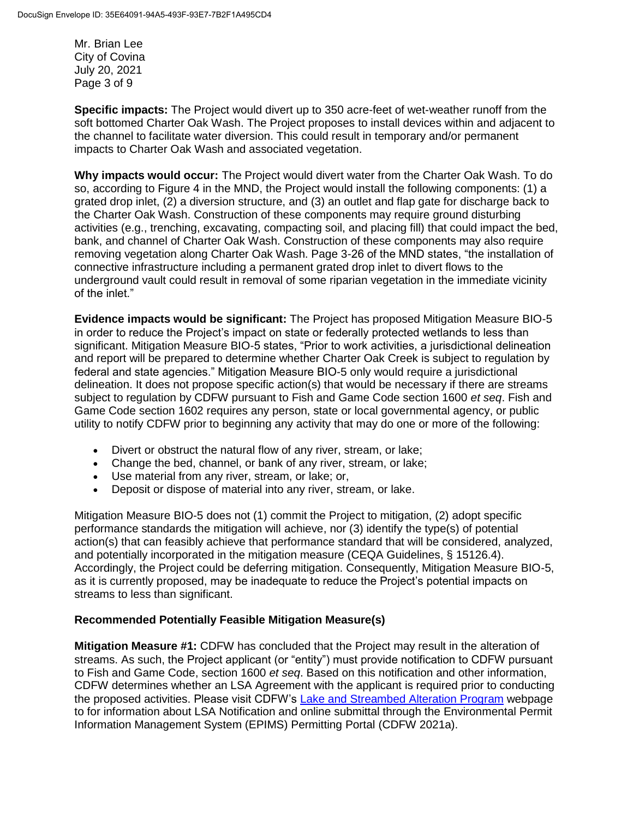Mr. Brian Lee City of Covina July 20, 2021 Page 3 of 9

**Specific impacts:** The Project would divert up to 350 acre-feet of wet-weather runoff from the soft bottomed Charter Oak Wash. The Project proposes to install devices within and adjacent to the channel to facilitate water diversion. This could result in temporary and/or permanent impacts to Charter Oak Wash and associated vegetation.

**Why impacts would occur:** The Project would divert water from the Charter Oak Wash. To do so, according to Figure 4 in the MND, the Project would install the following components: (1) a grated drop inlet, (2) a diversion structure, and (3) an outlet and flap gate for discharge back to the Charter Oak Wash. Construction of these components may require ground disturbing activities (e.g., trenching, excavating, compacting soil, and placing fill) that could impact the bed, bank, and channel of Charter Oak Wash. Construction of these components may also require removing vegetation along Charter Oak Wash. Page 3-26 of the MND states, "the installation of connective infrastructure including a permanent grated drop inlet to divert flows to the underground vault could result in removal of some riparian vegetation in the immediate vicinity of the inlet."

**Evidence impacts would be significant:** The Project has proposed Mitigation Measure BIO-5 in order to reduce the Project's impact on state or federally protected wetlands to less than significant. Mitigation Measure BIO-5 states, "Prior to work activities, a jurisdictional delineation and report will be prepared to determine whether Charter Oak Creek is subject to regulation by federal and state agencies." Mitigation Measure BIO-5 only would require a jurisdictional delineation. It does not propose specific action(s) that would be necessary if there are streams subject to regulation by CDFW pursuant to Fish and Game Code section 1600 *et seq*. [Fish](https://codes.findlaw.com/ca/fish-and-game-code/fgc-sect-1602.html) and Game Code [section](https://codes.findlaw.com/ca/fish-and-game-code/fgc-sect-1602.html) 1602 requires any person, state or local governmental agency, or public utility to notify CDFW prior to beginning any activity that may do one or more of the following:

- Divert or obstruct the natural flow of any river, stream, or lake;
- Change the bed, channel, or bank of any river, stream, or lake;
- Use material from any river, stream, or lake; or,
- Deposit or dispose of material into any river, stream, or lake.

Mitigation Measure BIO-5 does not (1) commit the Project to mitigation, (2) adopt specific performance standards the mitigation will achieve, nor (3) identify the type(s) of potential action(s) that can feasibly achieve that performance standard that will be considered, analyzed, and potentially incorporated in the mitigation measure (CEQA Guidelines, § 15126.4). Accordingly, the Project could be deferring mitigation. Consequently, Mitigation Measure BIO-5, as it is currently proposed, may be inadequate to reduce the Project's potential impacts on streams to less than significant.

### **Recommended Potentially Feasible Mitigation Measure(s)**

**Mitigation Measure #1:** CDFW has concluded that the Project may result in the alteration of streams. As such, the Project applicant (or "entity") must provide notification to CDFW pursuant to Fish and Game Code, section 1600 *et seq*. Based on this notification and other information, CDFW determines whether an LSA Agreement with the applicant is required prior to conducting the proposed activities. Please visit CDFW's [Lake and Streambed Alteration Program](https://wildlife.ca.gov/Conservation/LSA) webpage to for information about LSA Notification and online submittal through the Environmental Permit Information Management System (EPIMS) Permitting Portal (CDFW 2021a).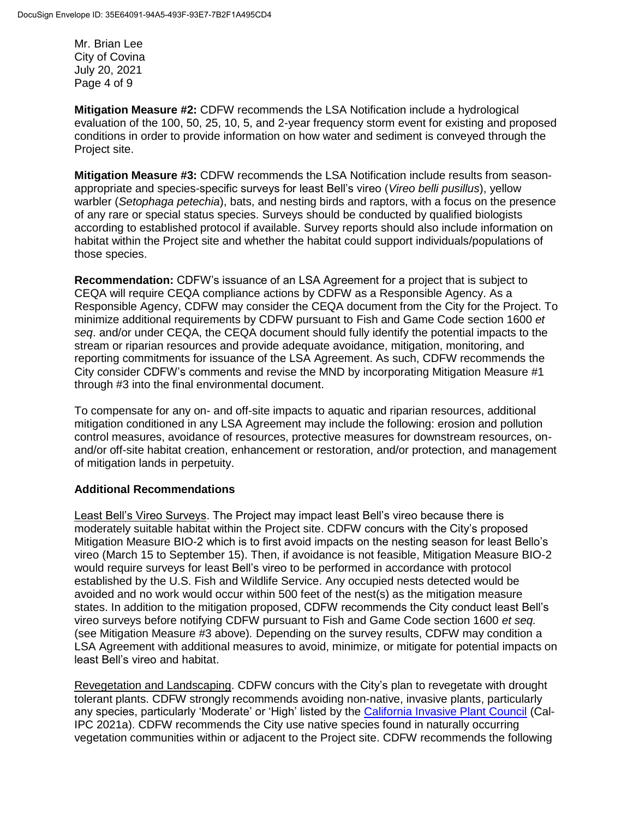Mr. Brian Lee City of Covina July 20, 2021 Page 4 of 9

**Mitigation Measure #2:** CDFW recommends the LSA Notification include a hydrological evaluation of the 100, 50, 25, 10, 5, and 2-year frequency storm event for existing and proposed conditions in order to provide information on how water and sediment is conveyed through the Project site.

**Mitigation Measure #3:** CDFW recommends the LSA Notification include results from seasonappropriate and species-specific surveys for least Bell's vireo (*Vireo belli pusillus*), yellow warbler (*Setophaga petechia*), bats, and nesting birds and raptors, with a focus on the presence of any rare or special status species. Surveys should be conducted by qualified biologists according to established protocol if available. Survey reports should also include information on habitat within the Project site and whether the habitat could support individuals/populations of those species.

**Recommendation:** CDFW's issuance of an LSA Agreement for a project that is subject to CEQA will require CEQA compliance actions by CDFW as a Responsible Agency. As a Responsible Agency, CDFW may consider the CEQA document from the City for the Project. To minimize additional requirements by CDFW pursuant to Fish and Game Code section 1600 *et seq*. and/or under CEQA, the CEQA document should fully identify the potential impacts to the stream or riparian resources and provide adequate avoidance, mitigation, monitoring, and reporting commitments for issuance of the LSA Agreement. As such, CDFW recommends the City consider CDFW's comments and revise the MND by incorporating Mitigation Measure #1 through #3 into the final environmental document.

To compensate for any on- and off-site impacts to aquatic and riparian resources, additional mitigation conditioned in any LSA Agreement may include the following: erosion and pollution control measures, avoidance of resources, protective measures for downstream resources, onand/or off-site habitat creation, enhancement or restoration, and/or protection, and management of mitigation lands in perpetuity.

### **Additional Recommendations**

Least Bell's Vireo Surveys. The Project may impact least Bell's vireo because there is moderately suitable habitat within the Project site. CDFW concurs with the City's proposed Mitigation Measure BIO-2 which is to first avoid impacts on the nesting season for least Bello's vireo (March 15 to September 15). Then, if avoidance is not feasible, Mitigation Measure BIO-2 would require surveys for least Bell's vireo to be performed in accordance with protocol established by the U.S. Fish and Wildlife Service. Any occupied nests detected would be avoided and no work would occur within 500 feet of the nest(s) as the mitigation measure states. In addition to the mitigation proposed, CDFW recommends the City conduct least Bell's vireo surveys before notifying CDFW pursuant to Fish and Game Code section 1600 *et seq.*  (see Mitigation Measure #3 above)*.* Depending on the survey results, CDFW may condition a LSA Agreement with additional measures to avoid, minimize, or mitigate for potential impacts on least Bell's vireo and habitat.

Revegetation and Landscaping. CDFW concurs with the City's plan to revegetate with drought tolerant plants. CDFW strongly recommends avoiding non-native, invasive plants, particularly any species, particularly 'Moderate' or 'High' listed by the [California Invasive Plant Council](https://www.cal-ipc.org/plants/inventory/) (Cal-IPC 2021a). CDFW recommends the City use native species found in naturally occurring vegetation communities within or adjacent to the Project site. CDFW recommends the following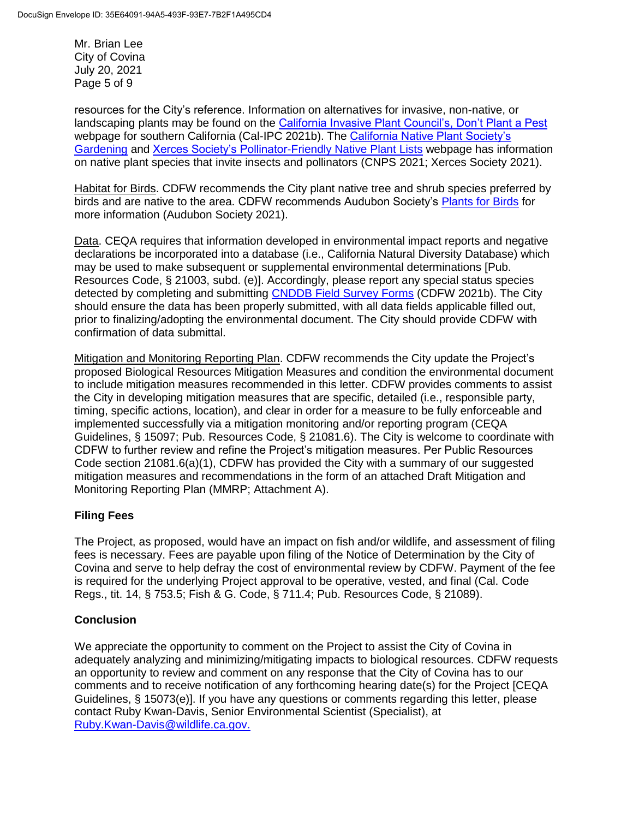Mr. Brian Lee City of Covina July 20, 2021 Page 5 of 9

resources for the City's reference. Information on alternatives for invasive, non-native, or landscaping plants may be found on the [California Invasive Plant Council's, Don't Plant a Pest](https://www.cal-ipc.org/solutions/prevention/landscaping/dpp/?region=socal) webpage for southern California (Cal-IPC 2021b). The [California Native Plant Society's](https://www.cnps.org/gardening)  [Gardening](https://www.cnps.org/gardening) and [Xerces Society's Pollinator-Friendly Native Plant Lists](https://xerces.org/pollinator-conservation/pollinator-friendly-plant-lists) webpage has information on native plant species that invite insects and pollinators (CNPS 2021; Xerces Society 2021).

Habitat for Birds. CDFW recommends the City plant native tree and shrub species preferred by birds and are native to the area. CDFW recommends Audubon Society's [Plants for Birds](https://www.audubon.org/plantsforbirds) for more information (Audubon Society 2021).

Data. CEQA requires that information developed in environmental impact reports and negative declarations be incorporated into a database (i.e., California Natural Diversity Database) which may be used to make subsequent or supplemental environmental determinations [Pub. Resources Code, § 21003, subd. (e)]. Accordingly, please report any special status species detected by completing and submitting **CNDDB Field Survey Forms** (CDFW 2021b). The City should ensure the data has been properly submitted, with all data fields applicable filled out, prior to finalizing/adopting the environmental document. The City should provide CDFW with confirmation of data submittal.

Mitigation and Monitoring Reporting Plan. CDFW recommends the City update the Project's proposed Biological Resources Mitigation Measures and condition the environmental document to include mitigation measures recommended in this letter. CDFW provides comments to assist the City in developing mitigation measures that are specific, detailed (i.e., responsible party, timing, specific actions, location), and clear in order for a measure to be fully enforceable and implemented successfully via a mitigation monitoring and/or reporting program (CEQA Guidelines, § 15097; Pub. Resources Code, § 21081.6). The City is welcome to coordinate with CDFW to further review and refine the Project's mitigation measures. Per Public Resources Code section 21081.6(a)(1), CDFW has provided the City with a summary of our suggested mitigation measures and recommendations in the form of an attached Draft Mitigation and Monitoring Reporting Plan (MMRP; Attachment A).

## **Filing Fees**

The Project, as proposed, would have an impact on fish and/or wildlife, and assessment of filing fees is necessary. Fees are payable upon filing of the Notice of Determination by the City of Covina and serve to help defray the cost of environmental review by CDFW. Payment of the fee is required for the underlying Project approval to be operative, vested, and final (Cal. Code Regs., tit. 14, § 753.5; Fish & G. Code, § 711.4; Pub. Resources Code, § 21089).

### **Conclusion**

We appreciate the opportunity to comment on the Project to assist the City of Covina in adequately analyzing and minimizing/mitigating impacts to biological resources. CDFW requests an opportunity to review and comment on any response that the City of Covina has to our comments and to receive notification of any forthcoming hearing date(s) for the Project [CEQA Guidelines, § 15073(e)]. If you have any questions or comments regarding this letter, please contact Ruby Kwan-Davis, Senior Environmental Scientist (Specialist), at [Ruby.Kwan-Davis@wildlife.ca.gov.](mailto:Ruby.Kwan-Davis@wildlife.ca.gov)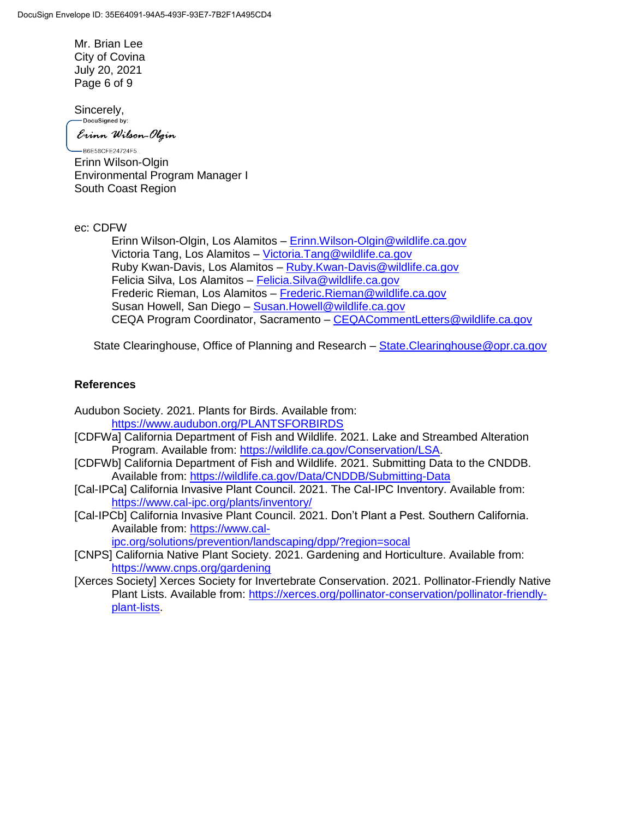Mr. Brian Lee City of Covina July 20, 2021 Page 6 of 9

Sincerely,<br>
<u>— Docusigned</u> by:

Erinn Wilson-Olgin

-B6E58CFE24724F5... Erinn Wilson-Olgin Environmental Program Manager I South Coast Region

ec: CDFW

Erinn Wilson-Olgin, Los Alamitos – [Erinn.Wilson-Olgin@wildlife.ca.gov](mailto:Erinn.Wilson-Olgin@wildlife.ca.gov) Victoria Tang, Los Alamitos - [Victoria.Tang@wildlife.ca.gov](mailto:Victoria.Tang@wildlife.ca.gov) Ruby Kwan-Davis, Los Alamitos – [Ruby.Kwan-Davis@wildlife.ca.gov](mailto:Ruby.Kwan-Davis@wildlife.ca.gov) Felicia Silva, Los Alamitos – [Felicia.Silva@wildlife.ca.gov](mailto:Felicia.Silva@wildlife.ca.gov) Frederic Rieman, Los Alamitos – [Frederic.Rieman@wildlife.ca.gov](mailto:Frederic.Rieman@wildlife.ca.gov) Susan Howell, San Diego - Susan. Howell@wildlife.ca.gov CEQA Program Coordinator, Sacramento – [CEQACommentLetters@wildlife.ca.gov](mailto:CEQACommentLetters@wildlife.ca.gov) 

State Clearinghouse, Office of Planning and Research – [State.Clearinghouse@opr.ca.gov](mailto:State.Clearinghouse@opr.ca.gov)

### **References**

Audubon Society. 2021. Plants for Birds. Available from: <https://www.audubon.org/PLANTSFORBIRDS>

- [CDFWa] California Department of Fish and Wildlife. 2021. Lake and Streambed Alteration Program. Available from: [https://wildlife.ca.gov/Conservation/LSA.](https://wildlife.ca.gov/Conservation/LSA)
- [CDFWb] California Department of Fish and Wildlife. 2021. Submitting Data to the CNDDB. Available from:<https://wildlife.ca.gov/Data/CNDDB/Submitting-Data>
- [Cal-IPCa] California Invasive Plant Council. 2021. The Cal-IPC Inventory. Available from: <https://www.cal-ipc.org/plants/inventory/>
- [Cal-IPCb] California Invasive Plant Council. 2021. Don't Plant a Pest. Southern California. Available from: [https://www.cal-](https://www.cal-ipc.org/solutions/prevention/landscaping/dpp/?region=socal)

[ipc.org/solutions/prevention/landscaping/dpp/?region=socal](https://www.cal-ipc.org/solutions/prevention/landscaping/dpp/?region=socal)

- [CNPS] California Native Plant Society. 2021. Gardening and Horticulture. Available from: <https://www.cnps.org/gardening>
- [Xerces Society] Xerces Society for Invertebrate Conservation. 2021. Pollinator-Friendly Native Plant Lists. Available from: [https://xerces.org/pollinator-conservation/pollinator-friendly](https://xerces.org/pollinator-conservation/pollinator-friendly-plant-lists)[plant-lists.](https://xerces.org/pollinator-conservation/pollinator-friendly-plant-lists)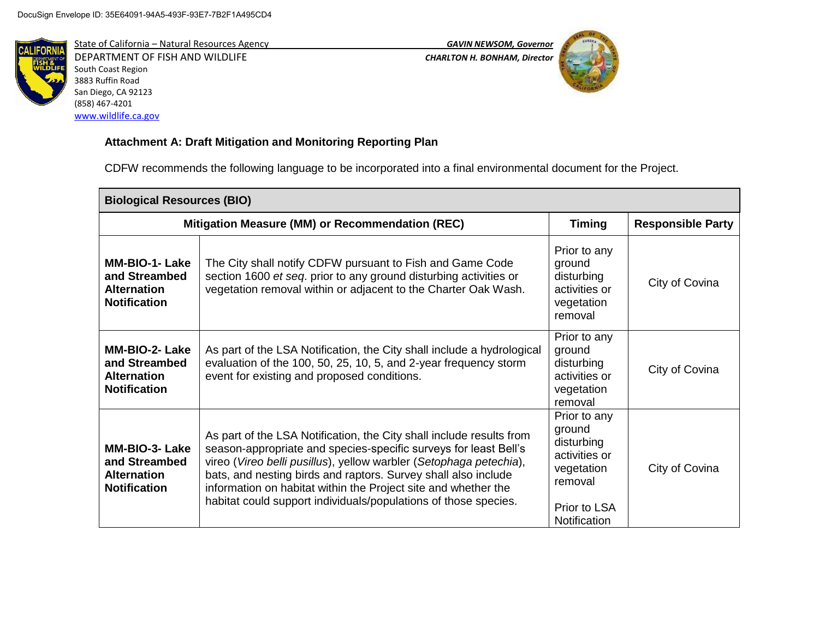

State of California – Natural Resources Agency *GAVIN NEWSOM, Governor* DEPARTMENT OF FISH AND WILDLIFE *CHARLTON H. BONHAM, Director*  South Coast Region 3883 Ruffin Road San Diego, CA 92123 (858) 467-4201 [www.wildlife.ca.gov](http://www.wildlife.ca.gov/)



# **Attachment A: Draft Mitigation and Monitoring Reporting Plan**

CDFW recommends the following language to be incorporated into a final environmental document for the Project.

| <b>Biological Resources (BIO)</b>                                                   |                                                                                                                                                                                                                                                                                                                                                                                                                       |                                                                                                                |                          |  |  |
|-------------------------------------------------------------------------------------|-----------------------------------------------------------------------------------------------------------------------------------------------------------------------------------------------------------------------------------------------------------------------------------------------------------------------------------------------------------------------------------------------------------------------|----------------------------------------------------------------------------------------------------------------|--------------------------|--|--|
| Mitigation Measure (MM) or Recommendation (REC)                                     |                                                                                                                                                                                                                                                                                                                                                                                                                       | <b>Timing</b>                                                                                                  | <b>Responsible Party</b> |  |  |
| <b>MM-BIO-1- Lake</b><br>and Streambed<br><b>Alternation</b><br><b>Notification</b> | The City shall notify CDFW pursuant to Fish and Game Code<br>section 1600 et seq. prior to any ground disturbing activities or<br>vegetation removal within or adjacent to the Charter Oak Wash.                                                                                                                                                                                                                      | Prior to any<br>ground<br>disturbing<br>activities or<br>vegetation<br>removal                                 | City of Covina           |  |  |
| MM-BIO-2- Lake<br>and Streambed<br><b>Alternation</b><br><b>Notification</b>        | As part of the LSA Notification, the City shall include a hydrological<br>evaluation of the 100, 50, 25, 10, 5, and 2-year frequency storm<br>event for existing and proposed conditions.                                                                                                                                                                                                                             | Prior to any<br>ground<br>disturbing<br>activities or<br>vegetation<br>removal                                 | City of Covina           |  |  |
| <b>MM-BIO-3- Lake</b><br>and Streambed<br><b>Alternation</b><br><b>Notification</b> | As part of the LSA Notification, the City shall include results from<br>season-appropriate and species-specific surveys for least Bell's<br>vireo (Vireo belli pusillus), yellow warbler (Setophaga petechia),<br>bats, and nesting birds and raptors. Survey shall also include<br>information on habitat within the Project site and whether the<br>habitat could support individuals/populations of those species. | Prior to any<br>ground<br>disturbing<br>activities or<br>vegetation<br>removal<br>Prior to LSA<br>Notification | City of Covina           |  |  |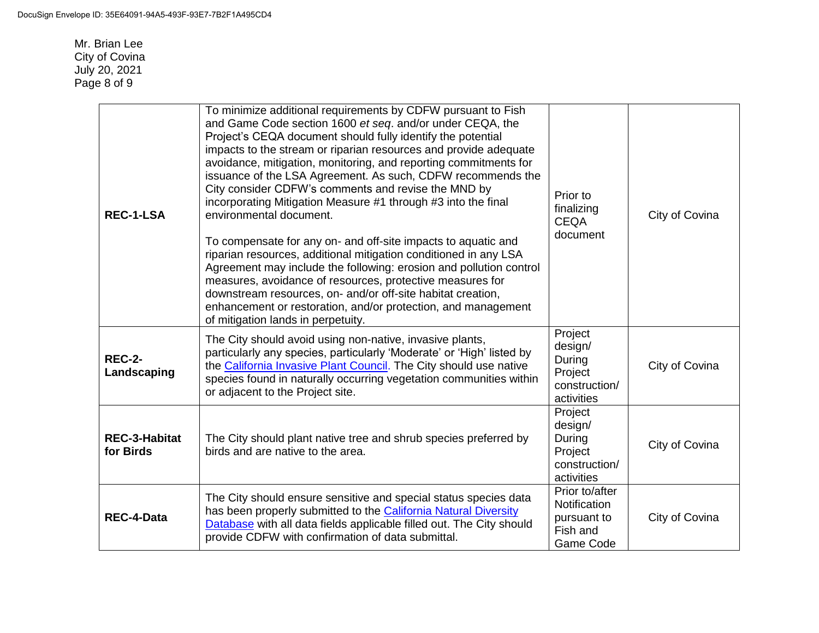Mr. Brian Lee City of Covina July 20, 2021 Page 8 of 9

| <b>REC-1-LSA</b>                  | To minimize additional requirements by CDFW pursuant to Fish<br>and Game Code section 1600 et seq. and/or under CEQA, the<br>Project's CEQA document should fully identify the potential<br>impacts to the stream or riparian resources and provide adequate<br>avoidance, mitigation, monitoring, and reporting commitments for<br>issuance of the LSA Agreement. As such, CDFW recommends the<br>City consider CDFW's comments and revise the MND by<br>incorporating Mitigation Measure #1 through #3 into the final<br>environmental document.<br>To compensate for any on- and off-site impacts to aquatic and<br>riparian resources, additional mitigation conditioned in any LSA<br>Agreement may include the following: erosion and pollution control<br>measures, avoidance of resources, protective measures for<br>downstream resources, on- and/or off-site habitat creation,<br>enhancement or restoration, and/or protection, and management<br>of mitigation lands in perpetuity. | Prior to<br>finalizing<br><b>CEQA</b><br>document                      | City of Covina |
|-----------------------------------|--------------------------------------------------------------------------------------------------------------------------------------------------------------------------------------------------------------------------------------------------------------------------------------------------------------------------------------------------------------------------------------------------------------------------------------------------------------------------------------------------------------------------------------------------------------------------------------------------------------------------------------------------------------------------------------------------------------------------------------------------------------------------------------------------------------------------------------------------------------------------------------------------------------------------------------------------------------------------------------------------|------------------------------------------------------------------------|----------------|
| <b>REC-2-</b><br>Landscaping      | The City should avoid using non-native, invasive plants,<br>particularly any species, particularly 'Moderate' or 'High' listed by<br>the California Invasive Plant Council. The City should use native<br>species found in naturally occurring vegetation communities within<br>or adjacent to the Project site.                                                                                                                                                                                                                                                                                                                                                                                                                                                                                                                                                                                                                                                                                 | Project<br>design/<br>During<br>Project<br>construction/<br>activities | City of Covina |
| <b>REC-3-Habitat</b><br>for Birds | The City should plant native tree and shrub species preferred by<br>birds and are native to the area.                                                                                                                                                                                                                                                                                                                                                                                                                                                                                                                                                                                                                                                                                                                                                                                                                                                                                            | Project<br>design/<br>During<br>Project<br>construction/<br>activities | City of Covina |
| <b>REC-4-Data</b>                 | The City should ensure sensitive and special status species data<br>has been properly submitted to the California Natural Diversity<br>Database with all data fields applicable filled out. The City should<br>provide CDFW with confirmation of data submittal.                                                                                                                                                                                                                                                                                                                                                                                                                                                                                                                                                                                                                                                                                                                                 | Prior to/after<br>Notification<br>pursuant to<br>Fish and<br>Game Code | City of Covina |